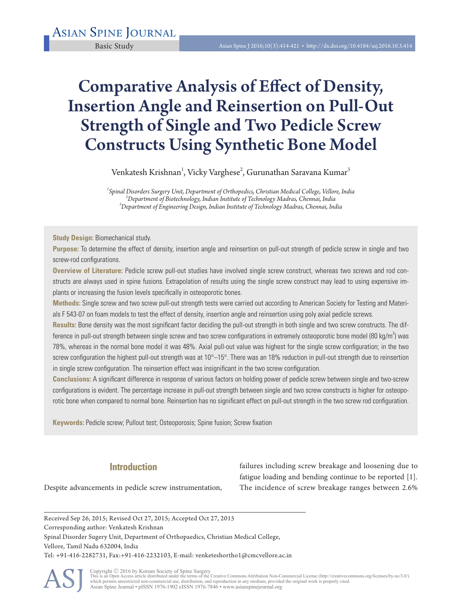# Comparative Analysis of Effect of Density, Insertion Angle and Reinsertion on Pull-Out Strength of Single and Two Pedicle Screw Constructs Using Synthetic Bone Model

Venkatesh Krishnan<sup>1</sup>, Vicky Varghese<sup>2</sup>, Gurunathan Saravana Kumar<sup>3</sup>  $\overline{a}$ 

*1 Spinal Disorders Surgery Unit, Department of Orthopedics, Christian Medical College, Vellore, India 2 Department of Biotechnology, Indian Institute of Technology Madras, Chennai, India <sup>3</sup> Department of Engineering Design, Indian Institute of Technology Madras, Chennai, India* 

**Study Design:** Biomechanical study.

**Purpose:** To determine the effect of density, insertion angle and reinsertion on pull-out strength of pedicle screw in single and two screw-rod configurations.

**Overview of Literature:** Pedicle screw pull-out studies have involved single screw construct, whereas two screws and rod constructs are always used in spine fusions. Extrapolation of results using the single screw construct may lead to using expensive implants or increasing the fusion levels specifically in osteoporotic bones.

**Methods:** Single screw and two screw pull-out strength tests were carried out according to American Society for Testing and Materials F 543-07 on foam models to test the effect of density, insertion angle and reinsertion using poly axial pedicle screws.

**Results:** Bone density was the most significant factor deciding the pull-out strength in both single and two screw constructs. The difference in pull-out strength between single screw and two screw configurations in extremely osteoporotic bone model (80 kg/m<sup>3</sup>) was 78%, whereas in the normal bone model it was 48%. Axial pull-out value was highest for the single screw configuration; in the two screw configuration the highest pull-out strength was at 10°–15°. There was an 18% reduction in pull-out strength due to reinsertion in single screw configuration. The reinsertion effect was insignificant in the two screw configuration.

**Conclusions:** A significant difference in response of various factors on holding power of pedicle screw between single and two-screw configurations is evident. The percentage increase in pull-out strength between single and two screw constructs is higher for osteoporotic bone when compared to normal bone. Reinsertion has no significant effect on pull-out strength in the two screw rod configuration.

**Keywords:** Pedicle screw; Pullout test; Osteoporosis; Spine fusion; Screw fixation

# **Introduction**

failures including screw breakage and loosening due to fatigue loading and bending continue to be reported [1]. The incidence of screw breakage ranges between 2.6%

Despite advancements in pedicle screw instrumentation,

Received Sep 26, 2015; Revised Oct 27, 2015; Accepted Oct 27, 2015 Corresponding author: Venkatesh Krishnan Spinal Disorder Sugery Unit, Department of Orthopaedics, Christian Medical College, Vellore, Tamil Nadu 632004, India Tel: +91-416-2282731, Fax:+91-416-2232103, E-mail: venketeshortho1@cmcvellore.ac.in

ASJ

Copyright © 2016 by Korean Society of Spine Surgery<br>This is an Open Access article distributed under the terms of the Creative Commons Attribution Non-Commercial License (http://creativecommons.org/licenses/by-nc/3.0/)<br>whi Asian Spine Journal • pISSN 1976-1902 eISSN 1976-7846 • www.asianspinejournal.org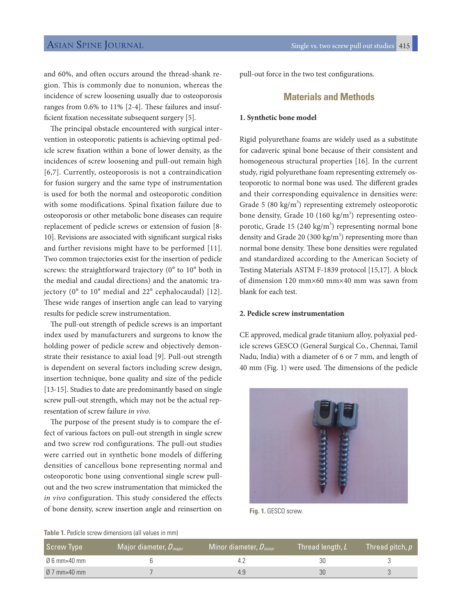and 60%, and often occurs around the thread-shank region. This is commonly due to nonunion, whereas the incidence of screw loosening usually due to osteoporosis ranges from 0.6% to 11% [2-4]. These failures and insufficient fixation necessitate subsequent surgery [5].

The principal obstacle encountered with surgical intervention in osteoporotic patients is achieving optimal pedicle screw fixation within a bone of lower density, as the incidences of screw loosening and pull-out remain high [6,7]. Currently, osteoporosis is not a contraindication for fusion surgery and the same type of instrumentation is used for both the normal and osteoporotic condition with some modifications. Spinal fixation failure due to osteoporosis or other metabolic bone diseases can require replacement of pedicle screws or extension of fusion [8- 10]. Revisions are associated with significant surgical risks and further revisions might have to be performed [11]. Two common trajectories exist for the insertion of pedicle screws: the straightforward trajectory (0° to 10° both in the medial and caudal directions) and the anatomic trajectory (0° to 10° medial and 22° cephalocaudal) [12]. These wide ranges of insertion angle can lead to varying results for pedicle screw instrumentation.

The pull-out strength of pedicle screws is an important index used by manufacturers and surgeons to know the holding power of pedicle screw and objectively demonstrate their resistance to axial load [9]. Pull-out strength is dependent on several factors including screw design, insertion technique, bone quality and size of the pedicle [13-15]. Studies to date are predominantly based on single screw pull-out strength, which may not be the actual representation of screw failure *in vivo*.

The purpose of the present study is to compare the effect of various factors on pull-out strength in single screw and two screw rod configurations. The pull-out studies were carried out in synthetic bone models of differing densities of cancellous bone representing normal and osteoporotic bone using conventional single screw pullout and the two screw instrumentation that mimicked the *in vivo* configuration. This study considered the effects of bone density, screw insertion angle and reinsertion on pull-out force in the two test configurations.

# **Materials and Methods**

#### **1. Synthetic bone model**

Rigid polyurethane foams are widely used as a substitute for cadaveric spinal bone because of their consistent and homogeneous structural properties [16]. In the current study, rigid polyurethane foam representing extremely osteoporotic to normal bone was used. The different grades and their corresponding equivalence in densities were: Grade 5  $(80 \text{ kg/m}^3)$  representing extremely osteoporotic bone density, Grade 10 (160 kg/m<sup>3</sup>) representing osteoporotic, Grade 15 (240  $\text{kg/m}^3$ ) representing normal bone density and Grade 20 (300 kg/m<sup>3</sup>) representing more than normal bone density. These bone densities were regulated and standardized according to the American Society of Testing Materials ASTM F-1839 protocol [15,17]. A block of dimension 120 mm×60 mm×40 mm was sawn from blank for each test.

## **2. Pedicle screw instrumentation**

CE approved, medical grade titanium alloy, polyaxial pedicle screws GESCO (General Surgical Co., Chennai, Tamil Nadu, India) with a diameter of 6 or 7 mm, and length of 40 mm (Fig. 1) were used. The dimensions of the pedicle



**Fig. 1.** GESCO screw.

#### **Table 1.** Pedicle screw dimensions (all values in mm)

| Screw Type                      | $\sqrt{2}$ Major diameter, $D_{major}$ | Minor diameter, $D_{minor}$ | Thread length, L | Thread pitch, $\rho^+$ |
|---------------------------------|----------------------------------------|-----------------------------|------------------|------------------------|
| Ø 6 mm×40 mm                    |                                        |                             | 30               |                        |
| $\emptyset$ 7 mm $\times$ 40 mm |                                        | 4.9                         | 30               |                        |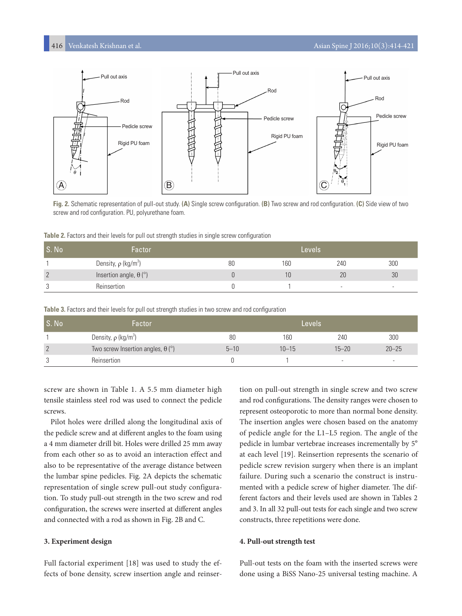

**Fig. 2.** Schematic representation of pull-out study. **(A)** Single screw configuration. **(B)** Two screw and rod configuration. **(C)** Side view of two screw and rod configuration. PU, polyurethane foam.

| Table 2. Factors and their levels for pull out strength studies in single screw configuration |  |  |  |  |  |  |
|-----------------------------------------------------------------------------------------------|--|--|--|--|--|--|
|                                                                                               |  |  |  |  |  |  |

| S. No          | Factor                                  |    | Levels |                          |     |
|----------------|-----------------------------------------|----|--------|--------------------------|-----|
|                | Density, $\rho$ (kg/m <sup>3</sup> )    | 80 | 160    | 240                      | 300 |
| $\overline{2}$ | Insertion angle, $\theta$ ( $\degree$ ) |    |        | 20                       | 30  |
| ્ર             | Reinsertion                             |    |        | $\overline{\phantom{a}}$ |     |

|  |  | Table 3. Factors and their levels for pull out strength studies in two screw and rod configuration |
|--|--|----------------------------------------------------------------------------------------------------|
|  |  |                                                                                                    |

| S. No          | Factor                                   |          | Levels    |                          |           |  |  |
|----------------|------------------------------------------|----------|-----------|--------------------------|-----------|--|--|
|                | Density, $\rho$ (kg/m <sup>3</sup> )     | 80       | 160       | 240                      | 300       |  |  |
| $\overline{2}$ | Two screw Insertion angles, $\theta$ (°) | $5 - 10$ | $10 - 15$ | $15 - 20$                | $20 - 25$ |  |  |
| ാ              | Reinsertion                              |          |           | $\overline{\phantom{0}}$ |           |  |  |

screw are shown in Table 1. A 5.5 mm diameter high tensile stainless steel rod was used to connect the pedicle screws.

Pilot holes were drilled along the longitudinal axis of the pedicle screw and at different angles to the foam using a 4 mm diameter drill bit. Holes were drilled 25 mm away from each other so as to avoid an interaction effect and also to be representative of the average distance between the lumbar spine pedicles. Fig. 2A depicts the schematic representation of single screw pull-out study configuration. To study pull-out strength in the two screw and rod configuration, the screws were inserted at different angles and connected with a rod as shown in Fig. 2B and C.

#### **3. Experiment design**

Full factorial experiment [18] was used to study the effects of bone density, screw insertion angle and reinsertion on pull-out strength in single screw and two screw and rod configurations. The density ranges were chosen to represent osteoporotic to more than normal bone density. The insertion angles were chosen based on the anatomy of pedicle angle for the L1–L5 region. The angle of the pedicle in lumbar vertebrae increases incrementally by 5° at each level [19]. Reinsertion represents the scenario of pedicle screw revision surgery when there is an implant failure. During such a scenario the construct is instrumented with a pedicle screw of higher diameter. The different factors and their levels used are shown in Tables 2 and 3. In all 32 pull-out tests for each single and two screw constructs, three repetitions were done.

#### **4. Pull-out strength test**

Pull-out tests on the foam with the inserted screws were done using a BiSS Nano-25 universal testing machine. A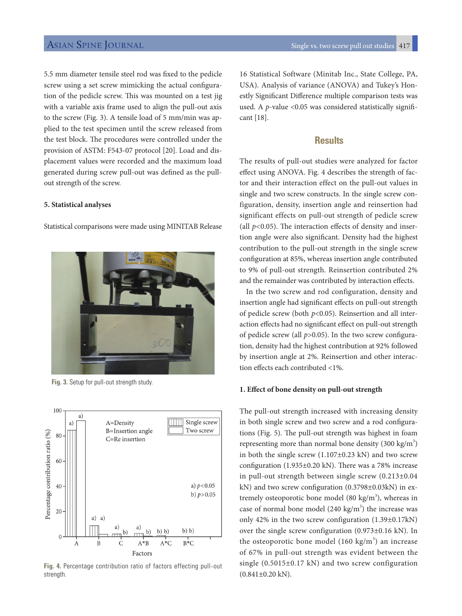5.5 mm diameter tensile steel rod was fixed to the pedicle screw using a set screw mimicking the actual configuration of the pedicle screw. This was mounted on a test jig with a variable axis frame used to align the pull-out axis to the screw (Fig. 3). A tensile load of 5 mm/min was applied to the test specimen until the screw released from the test block. The procedures were controlled under the provision of ASTM: F543-07 protocol [20]. Load and displacement values were recorded and the maximum load generated during screw pull-out was defined as the pullout strength of the screw.

#### **5. Statistical analyses**

Statistical comparisons were made using MINITAB Release





**Fig. 4.** Percentage contribution ratio of factors effecting pull-out strength.

16 Statistical Software (Minitab Inc., State College, PA, USA). Analysis of variance (ANOVA) and Tukey's Honestly Significant Difference multiple comparison tests was used. A *p*-value <0.05 was considered statistically significant [18].

# **Results**

The results of pull-out studies were analyzed for factor effect using ANOVA. Fig. 4 describes the strength of factor and their interaction effect on the pull-out values in single and two screw constructs. In the single screw configuration, density, insertion angle and reinsertion had significant effects on pull-out strength of pedicle screw (all *p<*0.05). The interaction effects of density and insertion angle were also significant. Density had the highest contribution to the pull-out strength in the single screw configuration at 85%, whereas insertion angle contributed to 9% of pull-out strength. Reinsertion contributed 2% and the remainder was contributed by interaction effects.

In the two screw and rod configuration, density and insertion angle had significant effects on pull-out strength of pedicle screw (both *p*<0.05). Reinsertion and all interaction effects had no significant effect on pull-out strength of pedicle screw (all *p*>0.05). In the two screw configuration, density had the highest contribution at 92% followed by insertion angle at 2%. Reinsertion and other interaction effects each contributed <1%.

#### **1. Effect of bone density on pull-out strength**

The pull-out strength increased with increasing density in both single screw and two screw and a rod configurations (Fig. 5). The pull-out strength was highest in foam representing more than normal bone density (300 kg/m<sup>3</sup>) in both the single screw (1.107±0.23 kN) and two screw configuration (1.935±0.20 kN). There was a 78% increase in pull-out strength between single screw (0.213±0.04 kN) and two screw configuration (0.3798±0.03kN) in extremely osteoporotic bone model  $(80 \text{ kg/m}^3)$ , whereas in case of normal bone model  $(240 \text{ kg/m}^3)$  the increase was only 42% in the two screw configuration (1.39±0.17kN) over the single screw configuration (0.973±0.16 kN). In the osteoporotic bone model  $(160 \text{ kg/m}^3)$  an increase of 67% in pull-out strength was evident between the single (0.5015±0.17 kN) and two screw configuration  $(0.841\pm0.20$  kN).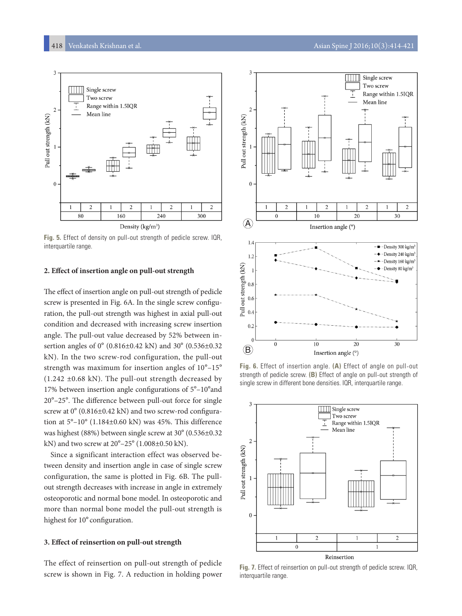

**Fig. 5.** Effect of density on pull-out strength of pedicle screw. IQR, interquartile range.

#### **2. Effect of insertion angle on pull-out strength**

The effect of insertion angle on pull-out strength of pedicle screw is presented in Fig. 6A. In the single screw configuration, the pull-out strength was highest in axial pull-out condition and decreased with increasing screw insertion angle. The pull-out value decreased by 52% between insertion angles of 0° (0.816±0.42 kN) and 30° (0.536±0.32 kN). In the two screw-rod configuration, the pull-out strength was maximum for insertion angles of 10°–15°  $(1.242 \pm 0.68 \text{ kN})$ . The pull-out strength decreased by 17% between insertion angle configurations of 5°–10°and 20°–25°. The difference between pull-out force for single screw at 0° (0.816±0.42 kN) and two screw-rod configuration at 5°–10° (1.184±0.60 kN) was 45%. This difference was highest (88%) between single screw at 30° (0.536±0.32 kN) and two screw at 20°–25° (1.008±0.50 kN).

Since a significant interaction effect was observed between density and insertion angle in case of single screw configuration, the same is plotted in Fig. 6B. The pullout strength decreases with increase in angle in extremely osteoporotic and normal bone model. In osteoporotic and more than normal bone model the pull-out strength is highest for 10° configuration.

#### **3. Effect of reinsertion on pull-out strength**

The effect of reinsertion on pull-out strength of pedicle screw is shown in Fig. 7. A reduction in holding power



**Fig. 6.** Effect of insertion angle. **(A)** Effect of angle on pull-out strength of pedicle screw. **(B)** Effect of angle on pull-out strength of single screw in different bone densities. IQR, interquartile range.



**Fig. 7.** Effect of reinsertion on pull-out strength of pedicle screw. IQR, interquartile range.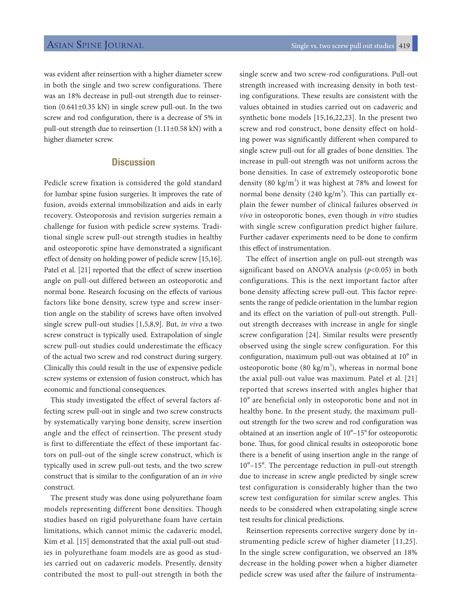was evident after reinsertion with a higher diameter screw in both the single and two screw configurations. There was an 18% decrease in pull-out strength due to reinsertion (0.641±0.35 kN) in single screw pull-out. In the two screw and rod configuration, there is a decrease of 5% in pull-out strength due to reinsertion (1.11±0.58 kN) with a higher diameter screw.

# **Discussion**

Pedicle screw fixation is considered the gold standard for lumbar spine fusion surgeries. It improves the rate of fusion, avoids external immobilization and aids in early recovery. Osteoporosis and revision surgeries remain a challenge for fusion with pedicle screw systems. Traditional single screw pull-out strength studies in healthy and osteoporotic spine have demonstrated a significant effect of density on holding power of pedicle screw [15,16]. Patel et al. [21] reported that the effect of screw insertion angle on pull-out differed between an osteoporotic and normal bone. Research focusing on the effects of various factors like bone density, screw type and screw insertion angle on the stability of screws have often involved single screw pull-out studies [1,5,8,9]. But, *in vivo* a two screw construct is typically used. Extrapolation of single screw pull-out studies could underestimate the efficacy of the actual two screw and rod construct during surgery. Clinically this could result in the use of expensive pedicle screw systems or extension of fusion construct, which has economic and functional consequences.

This study investigated the effect of several factors affecting screw pull-out in single and two screw constructs by systematically varying bone density, screw insertion angle and the effect of reinsertion. The present study is first to differentiate the effect of these important factors on pull-out of the single screw construct, which is typically used in screw pull-out tests, and the two screw construct that is similar to the configuration of an *in vivo* construct.

The present study was done using polyurethane foam models representing different bone densities. Though studies based on rigid polyurethane foam have certain limitations, which cannot mimic the cadaveric model, Kim et al. [15] demonstrated that the axial pull-out studies in polyurethane foam models are as good as studies carried out on cadaveric models. Presently, density contributed the most to pull-out strength in both the

single screw and two screw-rod configurations. Pull-out strength increased with increasing density in both testing configurations. These results are consistent with the values obtained in studies carried out on cadaveric and synthetic bone models [15,16,22,23]. In the present two screw and rod construct, bone density effect on holding power was significantly different when compared to single screw pull-out for all grades of bone densities. The increase in pull-out strength was not uniform across the bone densities. In case of extremely osteoporotic bone density (80 kg/m<sup>3</sup>) it was highest at 78% and lowest for normal bone density (240 kg/m<sup>3</sup>). This can partially explain the fewer number of clinical failures observed *in vivo* in osteoporotic bones, even though *in vitro* studies with single screw configuration predict higher failure. Further cadaver experiments need to be done to confirm this effect of instrumentation.

The effect of insertion angle on pull-out strength was significant based on ANOVA analysis (*p*<0.05) in both configurations. This is the next important factor after bone density affecting screw pull-out. This factor represents the range of pedicle orientation in the lumbar region and its effect on the variation of pull-out strength. Pullout strength decreases with increase in angle for single screw configuration [24]. Similar results were presently observed using the single screw configuration. For this configuration, maximum pull-out was obtained at 10° in osteoporotic bone (80 kg/ $m<sup>3</sup>$ ), whereas in normal bone the axial pull-out value was maximum. Patel et al. [21] reported that screws inserted with angles higher that 10° are beneficial only in osteoporotic bone and not in healthy bone. In the present study, the maximum pullout strength for the two screw and rod configuration was obtained at an insertion angle of 10°–15°for osteoporotic bone. Thus, for good clinical results in osteoporotic bone there is a benefit of using insertion angle in the range of 10°–15°. The percentage reduction in pull-out strength due to increase in screw angle predicted by single screw test configuration is considerably higher than the two screw test configuration for similar screw angles. This needs to be considered when extrapolating single screw test results for clinical predictions.

Reinsertion represents corrective surgery done by instrumenting pedicle screw of higher diameter [11,25]. In the single screw configuration, we observed an 18% decrease in the holding power when a higher diameter pedicle screw was used after the failure of instrumenta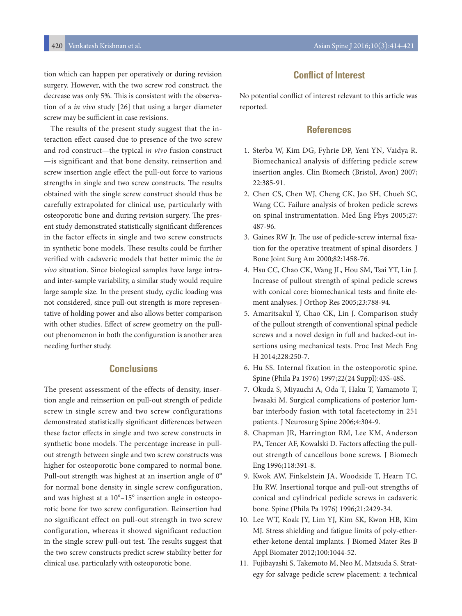tion which can happen per operatively or during revision surgery. However, with the two screw rod construct, the decrease was only 5%. This is consistent with the observation of a *in vivo* study [26] that using a larger diameter screw may be sufficient in case revisions.

The results of the present study suggest that the interaction effect caused due to presence of the two screw and rod construct—the typical *in vivo* fusion construct —is significant and that bone density, reinsertion and screw insertion angle effect the pull-out force to various strengths in single and two screw constructs. The results obtained with the single screw construct should thus be carefully extrapolated for clinical use, particularly with osteoporotic bone and during revision surgery. The present study demonstrated statistically significant differences in the factor effects in single and two screw constructs in synthetic bone models. These results could be further verified with cadaveric models that better mimic the *in vivo* situation. Since biological samples have large intraand inter-sample variability, a similar study would require large sample size. In the present study, cyclic loading was not considered, since pull-out strength is more representative of holding power and also allows better comparison with other studies. Effect of screw geometry on the pullout phenomenon in both the configuration is another area needing further study.

# **Conclusions**

The present assessment of the effects of density, insertion angle and reinsertion on pull-out strength of pedicle screw in single screw and two screw configurations demonstrated statistically significant differences between these factor effects in single and two screw constructs in synthetic bone models. The percentage increase in pullout strength between single and two screw constructs was higher for osteoporotic bone compared to normal bone. Pull-out strength was highest at an insertion angle of 0° for normal bone density in single screw configuration, and was highest at a 10°–15° insertion angle in osteoporotic bone for two screw configuration. Reinsertion had no significant effect on pull-out strength in two screw configuration, whereas it showed significant reduction in the single screw pull-out test. The results suggest that the two screw constructs predict screw stability better for clinical use, particularly with osteoporotic bone.

# **Conflict of Interest**

No potential conflict of interest relevant to this article was reported.

## **References**

- 1. Sterba W, Kim DG, Fyhrie DP, Yeni YN, Vaidya R. Biomechanical analysis of differing pedicle screw insertion angles. Clin Biomech (Bristol, Avon) 2007; 22:385-91.
- 2. Chen CS, Chen WJ, Cheng CK, Jao SH, Chueh SC, Wang CC. Failure analysis of broken pedicle screws on spinal instrumentation. Med Eng Phys 2005;27: 487-96.
- 3. Gaines RW Jr. The use of pedicle-screw internal fixation for the operative treatment of spinal disorders. J Bone Joint Surg Am 2000;82:1458-76.
- 4. Hsu CC, Chao CK, Wang JL, Hou SM, Tsai YT, Lin J. Increase of pullout strength of spinal pedicle screws with conical core: biomechanical tests and finite element analyses. J Orthop Res 2005;23:788-94.
- 5. Amaritsakul Y, Chao CK, Lin J. Comparison study of the pullout strength of conventional spinal pedicle screws and a novel design in full and backed-out insertions using mechanical tests. Proc Inst Mech Eng H 2014;228:250-7.
- 6. Hu SS. Internal fixation in the osteoporotic spine. Spine (Phila Pa 1976) 1997;22(24 Suppl):43S-48S.
- 7. Okuda S, Miyauchi A, Oda T, Haku T, Yamamoto T, Iwasaki M. Surgical complications of posterior lumbar interbody fusion with total facetectomy in 251 patients. J Neurosurg Spine 2006;4:304-9.
- 8. Chapman JR, Harrington RM, Lee KM, Anderson PA, Tencer AF, Kowalski D. Factors affecting the pullout strength of cancellous bone screws. J Biomech Eng 1996;118:391-8.
- 9. Kwok AW, Finkelstein JA, Woodside T, Hearn TC, Hu RW. Insertional torque and pull-out strengths of conical and cylindrical pedicle screws in cadaveric bone. Spine (Phila Pa 1976) 1996;21:2429-34.
- 10. Lee WT, Koak JY, Lim YJ, Kim SK, Kwon HB, Kim MJ. Stress shielding and fatigue limits of poly-etherether-ketone dental implants. J Biomed Mater Res B Appl Biomater 2012;100:1044-52.
- 11. Fujibayashi S, Takemoto M, Neo M, Matsuda S. Strategy for salvage pedicle screw placement: a technical